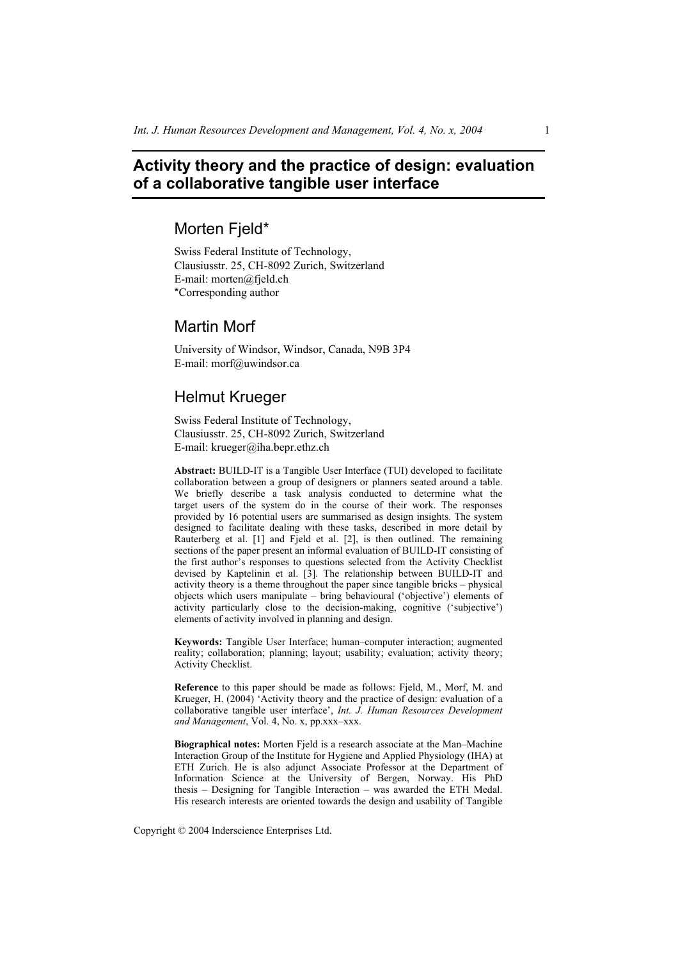# **Activity theory and the practice of design: evaluation of a collaborative tangible user interface**

# Morten Fjeld\*

Swiss Federal Institute of Technology, Clausiusstr. 25, CH-8092 Zurich, Switzerland E-mail: morten@fjeld.ch \*Corresponding author

# Martin Morf

University of Windsor, Windsor, Canada, N9B 3P4 E-mail: morf@uwindsor.ca

# Helmut Krueger

Swiss Federal Institute of Technology, Clausiusstr. 25, CH-8092 Zurich, Switzerland E-mail: krueger@iha.bepr.ethz.ch

**Abstract:** BUILD-IT is a Tangible User Interface (TUI) developed to facilitate collaboration between a group of designers or planners seated around a table. We briefly describe a task analysis conducted to determine what the target users of the system do in the course of their work. The responses provided by 16 potential users are summarised as design insights. The system designed to facilitate dealing with these tasks, described in more detail by Rauterberg et al. [1] and Fjeld et al. [2], is then outlined. The remaining sections of the paper present an informal evaluation of BUILD-IT consisting of the first author's responses to questions selected from the Activity Checklist devised by Kaptelinin et al. [3]. The relationship between BUILD-IT and activity theory is a theme throughout the paper since tangible bricks – physical objects which users manipulate – bring behavioural ('objective') elements of activity particularly close to the decision-making, cognitive ('subjective') elements of activity involved in planning and design.

**Keywords:** Tangible User Interface; human–computer interaction; augmented reality; collaboration; planning; layout; usability; evaluation; activity theory; Activity Checklist.

**Reference** to this paper should be made as follows: Fjeld, M., Morf, M. and Krueger, H. (2004) 'Activity theory and the practice of design: evaluation of a collaborative tangible user interface', *Int. J. Human Resources Development and Management*, Vol. 4, No. x, pp.xxx–xxx.

**Biographical notes:** Morten Fjeld is a research associate at the Man–Machine Interaction Group of the Institute for Hygiene and Applied Physiology (IHA) at ETH Zurich. He is also adjunct Associate Professor at the Department of Information Science at the University of Bergen, Norway. His PhD thesis – Designing for Tangible Interaction – was awarded the ETH Medal. His research interests are oriented towards the design and usability of Tangible

Copyright © 2004 Inderscience Enterprises Ltd.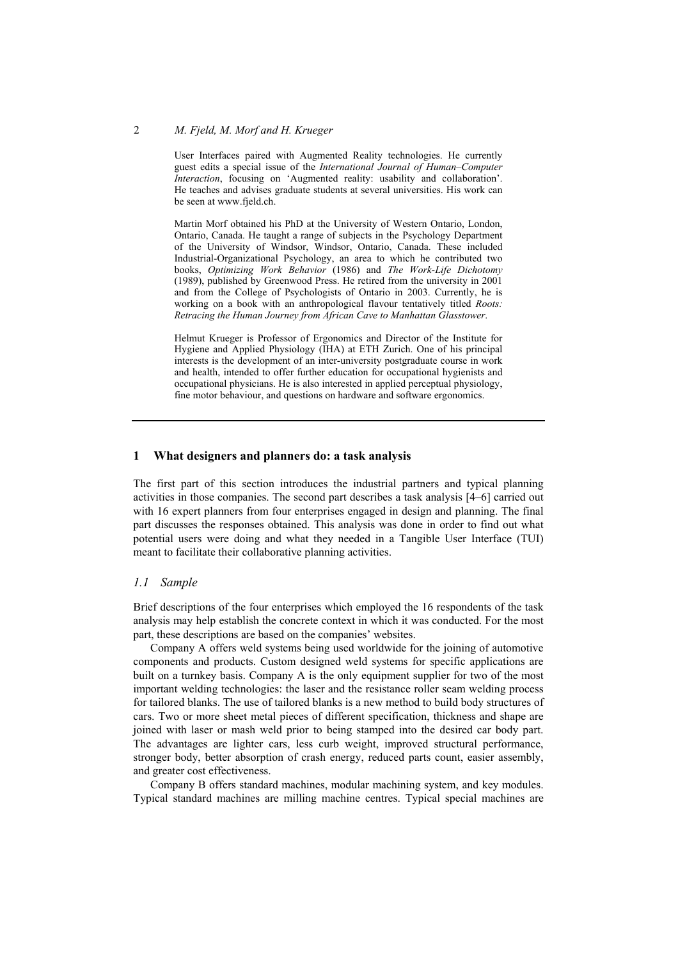User Interfaces paired with Augmented Reality technologies. He currently guest edits a special issue of the *International Journal of Human–Computer Interaction*, focusing on 'Augmented reality: usability and collaboration'. He teaches and advises graduate students at several universities. His work can be seen at www.fjeld.ch.

Martin Morf obtained his PhD at the University of Western Ontario, London, Ontario, Canada. He taught a range of subjects in the Psychology Department of the University of Windsor, Windsor, Ontario, Canada. These included Industrial-Organizational Psychology, an area to which he contributed two books, *Optimizing Work Behavior* (1986) and *The Work-Life Dichotomy* (1989), published by Greenwood Press. He retired from the university in 2001 and from the College of Psychologists of Ontario in 2003. Currently, he is working on a book with an anthropological flavour tentatively titled *Roots: Retracing the Human Journey from African Cave to Manhattan Glasstower*.

Helmut Krueger is Professor of Ergonomics and Director of the Institute for Hygiene and Applied Physiology (IHA) at ETH Zurich. One of his principal interests is the development of an inter-university postgraduate course in work and health, intended to offer further education for occupational hygienists and occupational physicians. He is also interested in applied perceptual physiology, fine motor behaviour, and questions on hardware and software ergonomics.

#### **1 What designers and planners do: a task analysis**

The first part of this section introduces the industrial partners and typical planning activities in those companies. The second part describes a task analysis [4–6] carried out with 16 expert planners from four enterprises engaged in design and planning. The final part discusses the responses obtained. This analysis was done in order to find out what potential users were doing and what they needed in a Tangible User Interface (TUI) meant to facilitate their collaborative planning activities.

## *1.1 Sample*

Brief descriptions of the four enterprises which employed the 16 respondents of the task analysis may help establish the concrete context in which it was conducted. For the most part, these descriptions are based on the companies' websites.

Company A offers weld systems being used worldwide for the joining of automotive components and products. Custom designed weld systems for specific applications are built on a turnkey basis. Company A is the only equipment supplier for two of the most important welding technologies: the laser and the resistance roller seam welding process for tailored blanks. The use of tailored blanks is a new method to build body structures of cars. Two or more sheet metal pieces of different specification, thickness and shape are joined with laser or mash weld prior to being stamped into the desired car body part. The advantages are lighter cars, less curb weight, improved structural performance, stronger body, better absorption of crash energy, reduced parts count, easier assembly, and greater cost effectiveness.

Company B offers standard machines, modular machining system, and key modules. Typical standard machines are milling machine centres. Typical special machines are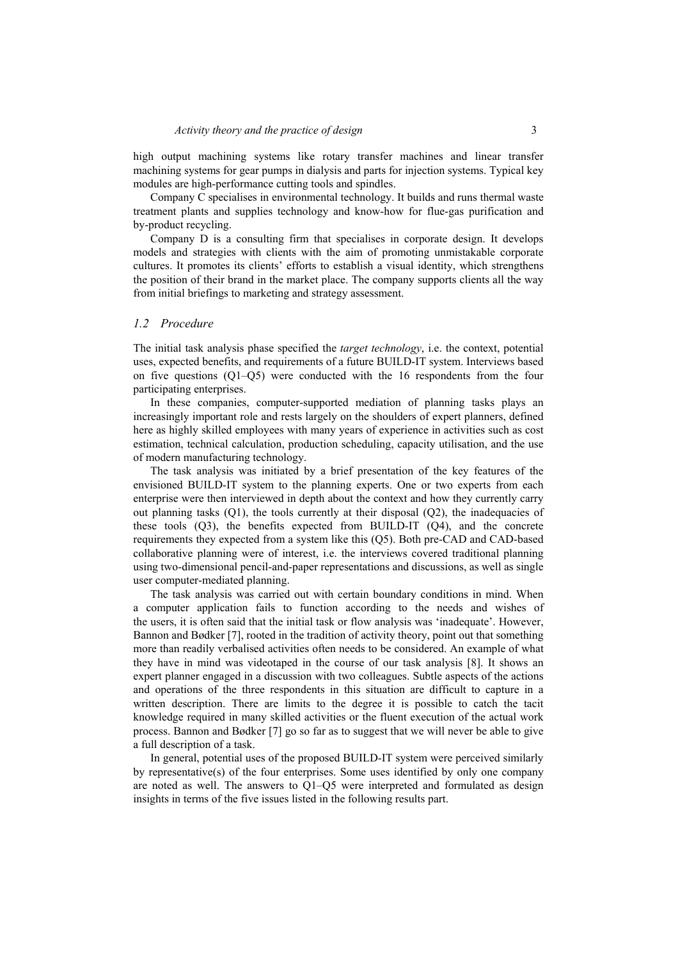high output machining systems like rotary transfer machines and linear transfer machining systems for gear pumps in dialysis and parts for injection systems. Typical key modules are high-performance cutting tools and spindles.

Company C specialises in environmental technology. It builds and runs thermal waste treatment plants and supplies technology and know-how for flue-gas purification and by-product recycling.

Company D is a consulting firm that specialises in corporate design. It develops models and strategies with clients with the aim of promoting unmistakable corporate cultures. It promotes its clients' efforts to establish a visual identity, which strengthens the position of their brand in the market place. The company supports clients all the way from initial briefings to marketing and strategy assessment.

## *1.2 Procedure*

The initial task analysis phase specified the *target technology*, i.e. the context, potential uses, expected benefits, and requirements of a future BUILD-IT system. Interviews based on five questions (Q1–Q5) were conducted with the 16 respondents from the four participating enterprises.

In these companies, computer-supported mediation of planning tasks plays an increasingly important role and rests largely on the shoulders of expert planners, defined here as highly skilled employees with many years of experience in activities such as cost estimation, technical calculation, production scheduling, capacity utilisation, and the use of modern manufacturing technology.

The task analysis was initiated by a brief presentation of the key features of the envisioned BUILD-IT system to the planning experts. One or two experts from each enterprise were then interviewed in depth about the context and how they currently carry out planning tasks (Q1), the tools currently at their disposal (Q2), the inadequacies of these tools  $(Q3)$ , the benefits expected from BUILD-IT  $(Q4)$ , and the concrete requirements they expected from a system like this (Q5). Both pre-CAD and CAD-based collaborative planning were of interest, i.e. the interviews covered traditional planning using two-dimensional pencil-and-paper representations and discussions, as well as single user computer-mediated planning.

The task analysis was carried out with certain boundary conditions in mind. When a computer application fails to function according to the needs and wishes of the users, it is often said that the initial task or flow analysis was 'inadequate'. However, Bannon and Bødker [7], rooted in the tradition of activity theory, point out that something more than readily verbalised activities often needs to be considered. An example of what they have in mind was videotaped in the course of our task analysis [8]. It shows an expert planner engaged in a discussion with two colleagues. Subtle aspects of the actions and operations of the three respondents in this situation are difficult to capture in a written description. There are limits to the degree it is possible to catch the tacit knowledge required in many skilled activities or the fluent execution of the actual work process. Bannon and Bødker [7] go so far as to suggest that we will never be able to give a full description of a task.

In general, potential uses of the proposed BUILD-IT system were perceived similarly by representative(s) of the four enterprises. Some uses identified by only one company are noted as well. The answers to Q1–Q5 were interpreted and formulated as design insights in terms of the five issues listed in the following results part.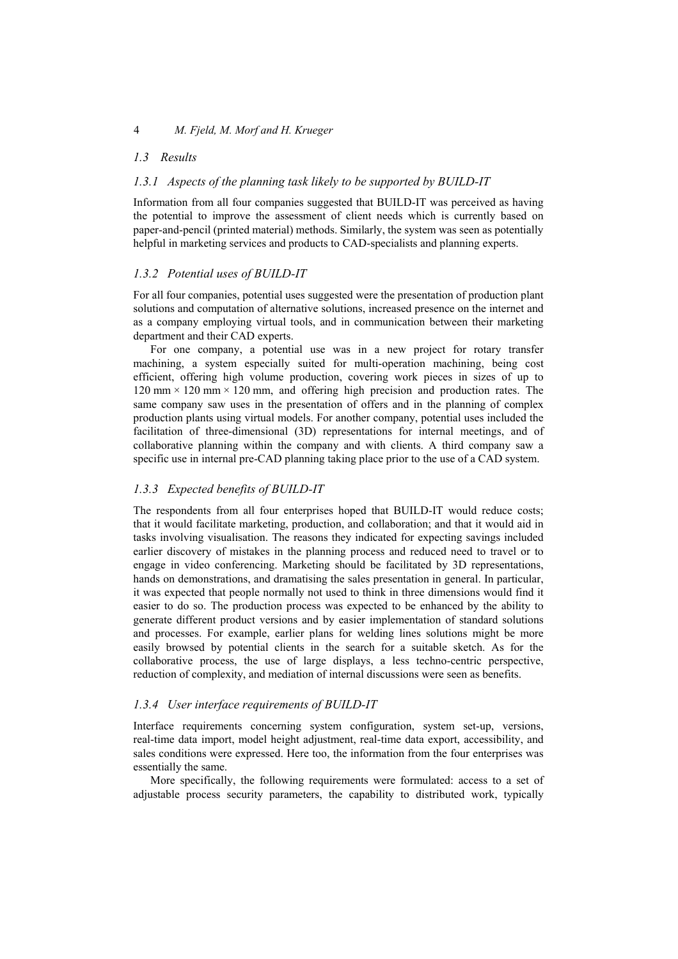## *1.3 Results*

## *1.3.1 Aspects of the planning task likely to be supported by BUILD-IT*

Information from all four companies suggested that BUILD-IT was perceived as having the potential to improve the assessment of client needs which is currently based on paper-and-pencil (printed material) methods. Similarly, the system was seen as potentially helpful in marketing services and products to CAD-specialists and planning experts.

#### *1.3.2 Potential uses of BUILD-IT*

For all four companies, potential uses suggested were the presentation of production plant solutions and computation of alternative solutions, increased presence on the internet and as a company employing virtual tools, and in communication between their marketing department and their CAD experts.

For one company, a potential use was in a new project for rotary transfer machining, a system especially suited for multi-operation machining, being cost efficient, offering high volume production, covering work pieces in sizes of up to 120 mm  $\times$  120 mm  $\times$  120 mm, and offering high precision and production rates. The same company saw uses in the presentation of offers and in the planning of complex production plants using virtual models. For another company, potential uses included the facilitation of three-dimensional (3D) representations for internal meetings, and of collaborative planning within the company and with clients. A third company saw a specific use in internal pre-CAD planning taking place prior to the use of a CAD system.

#### *1.3.3 Expected benefits of BUILD-IT*

The respondents from all four enterprises hoped that BUILD-IT would reduce costs; that it would facilitate marketing, production, and collaboration; and that it would aid in tasks involving visualisation. The reasons they indicated for expecting savings included earlier discovery of mistakes in the planning process and reduced need to travel or to engage in video conferencing. Marketing should be facilitated by 3D representations, hands on demonstrations, and dramatising the sales presentation in general. In particular, it was expected that people normally not used to think in three dimensions would find it easier to do so. The production process was expected to be enhanced by the ability to generate different product versions and by easier implementation of standard solutions and processes. For example, earlier plans for welding lines solutions might be more easily browsed by potential clients in the search for a suitable sketch. As for the collaborative process, the use of large displays, a less techno-centric perspective, reduction of complexity, and mediation of internal discussions were seen as benefits.

## *1.3.4 User interface requirements of BUILD-IT*

Interface requirements concerning system configuration, system set-up, versions, real-time data import, model height adjustment, real-time data export, accessibility, and sales conditions were expressed. Here too, the information from the four enterprises was essentially the same.

More specifically, the following requirements were formulated: access to a set of adjustable process security parameters, the capability to distributed work, typically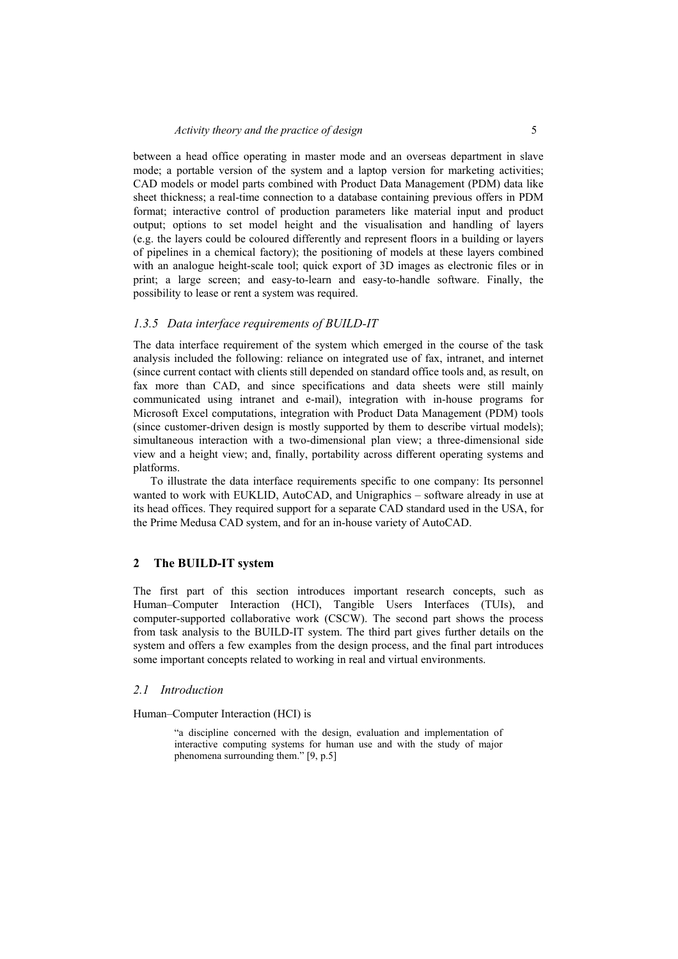between a head office operating in master mode and an overseas department in slave mode; a portable version of the system and a laptop version for marketing activities; CAD models or model parts combined with Product Data Management (PDM) data like sheet thickness; a real-time connection to a database containing previous offers in PDM format; interactive control of production parameters like material input and product output; options to set model height and the visualisation and handling of layers (e.g. the layers could be coloured differently and represent floors in a building or layers of pipelines in a chemical factory); the positioning of models at these layers combined with an analogue height-scale tool; quick export of 3D images as electronic files or in print; a large screen; and easy-to-learn and easy-to-handle software. Finally, the possibility to lease or rent a system was required.

### *1.3.5 Data interface requirements of BUILD-IT*

The data interface requirement of the system which emerged in the course of the task analysis included the following: reliance on integrated use of fax, intranet, and internet (since current contact with clients still depended on standard office tools and, as result, on fax more than CAD, and since specifications and data sheets were still mainly communicated using intranet and e-mail), integration with in-house programs for Microsoft Excel computations, integration with Product Data Management (PDM) tools (since customer-driven design is mostly supported by them to describe virtual models); simultaneous interaction with a two-dimensional plan view; a three-dimensional side view and a height view; and, finally, portability across different operating systems and platforms.

To illustrate the data interface requirements specific to one company: Its personnel wanted to work with EUKLID, AutoCAD, and Unigraphics – software already in use at its head offices. They required support for a separate CAD standard used in the USA, for the Prime Medusa CAD system, and for an in-house variety of AutoCAD.

## **2 The BUILD-IT system**

The first part of this section introduces important research concepts, such as Human–Computer Interaction (HCI), Tangible Users Interfaces (TUIs), and computer-supported collaborative work (CSCW). The second part shows the process from task analysis to the BUILD-IT system. The third part gives further details on the system and offers a few examples from the design process, and the final part introduces some important concepts related to working in real and virtual environments.

## *2.1 Introduction*

Human–Computer Interaction (HCI) is

"a discipline concerned with the design, evaluation and implementation of interactive computing systems for human use and with the study of major phenomena surrounding them." [9, p.5]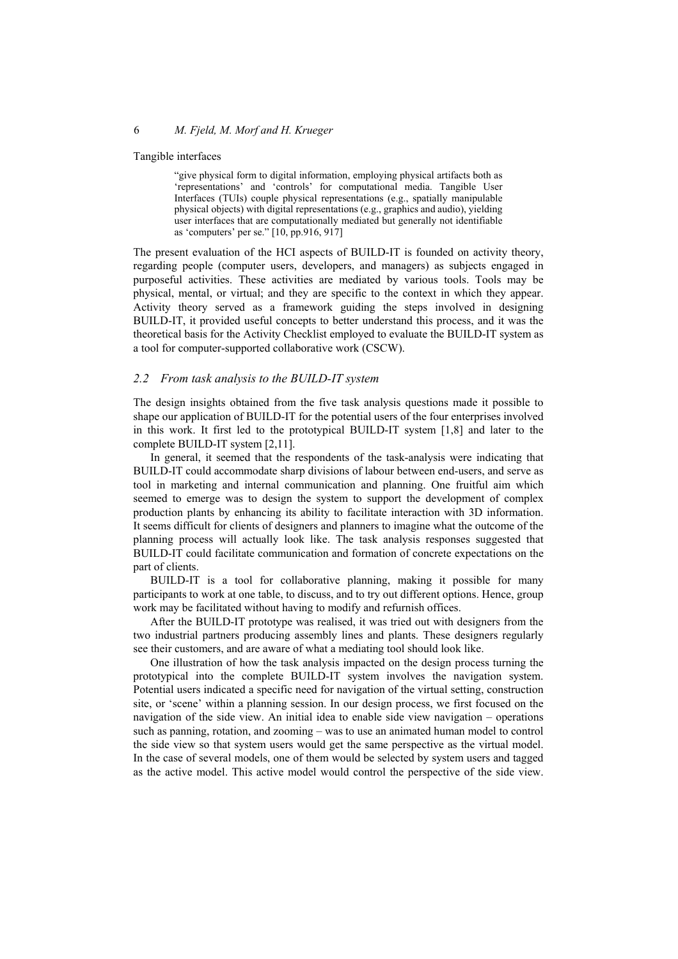Tangible interfaces

"give physical form to digital information, employing physical artifacts both as 'representations' and 'controls' for computational media. Tangible User Interfaces (TUIs) couple physical representations (e.g., spatially manipulable physical objects) with digital representations (e.g., graphics and audio), yielding user interfaces that are computationally mediated but generally not identifiable as 'computers' per se." [10, pp.916, 917]

The present evaluation of the HCI aspects of BUILD-IT is founded on activity theory, regarding people (computer users, developers, and managers) as subjects engaged in purposeful activities. These activities are mediated by various tools. Tools may be physical, mental, or virtual; and they are specific to the context in which they appear. Activity theory served as a framework guiding the steps involved in designing BUILD-IT, it provided useful concepts to better understand this process, and it was the theoretical basis for the Activity Checklist employed to evaluate the BUILD-IT system as a tool for computer-supported collaborative work (CSCW).

#### *2.2 From task analysis to the BUILD-IT system*

The design insights obtained from the five task analysis questions made it possible to shape our application of BUILD-IT for the potential users of the four enterprises involved in this work. It first led to the prototypical BUILD-IT system [1,8] and later to the complete BUILD-IT system [2,11].

In general, it seemed that the respondents of the task-analysis were indicating that BUILD-IT could accommodate sharp divisions of labour between end-users, and serve as tool in marketing and internal communication and planning. One fruitful aim which seemed to emerge was to design the system to support the development of complex production plants by enhancing its ability to facilitate interaction with 3D information. It seems difficult for clients of designers and planners to imagine what the outcome of the planning process will actually look like. The task analysis responses suggested that BUILD-IT could facilitate communication and formation of concrete expectations on the part of clients.

BUILD-IT is a tool for collaborative planning, making it possible for many participants to work at one table, to discuss, and to try out different options. Hence, group work may be facilitated without having to modify and refurnish offices.

After the BUILD-IT prototype was realised, it was tried out with designers from the two industrial partners producing assembly lines and plants. These designers regularly see their customers, and are aware of what a mediating tool should look like.

One illustration of how the task analysis impacted on the design process turning the prototypical into the complete BUILD-IT system involves the navigation system. Potential users indicated a specific need for navigation of the virtual setting, construction site, or 'scene' within a planning session. In our design process, we first focused on the navigation of the side view. An initial idea to enable side view navigation – operations such as panning, rotation, and zooming – was to use an animated human model to control the side view so that system users would get the same perspective as the virtual model. In the case of several models, one of them would be selected by system users and tagged as the active model. This active model would control the perspective of the side view.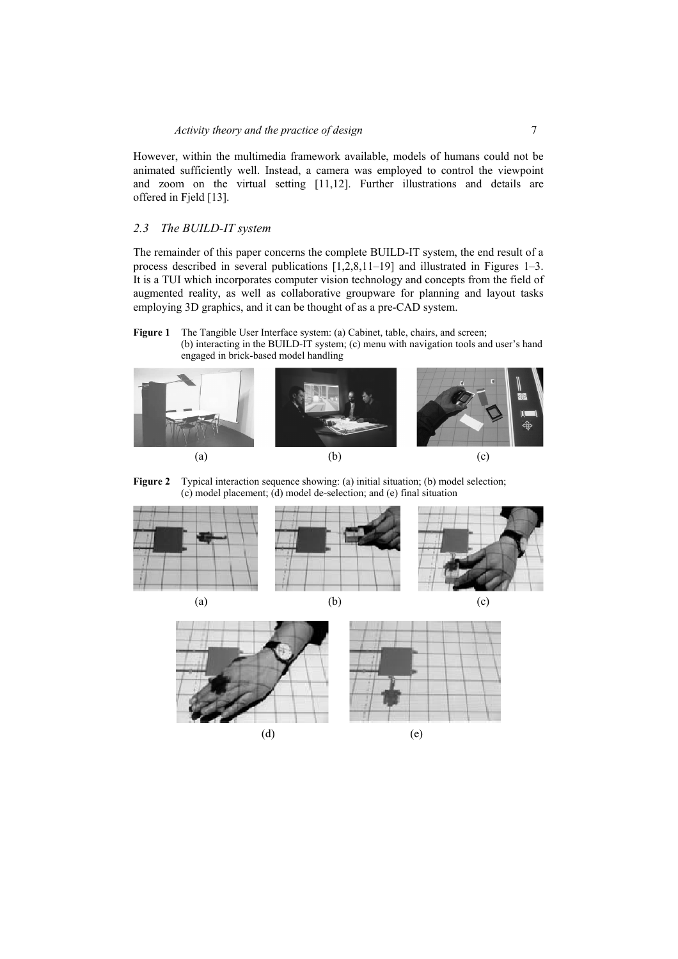However, within the multimedia framework available, models of humans could not be animated sufficiently well. Instead, a camera was employed to control the viewpoint and zoom on the virtual setting [11,12]. Further illustrations and details are offered in Fjeld [13].

## *2.3 The BUILD-IT system*

The remainder of this paper concerns the complete BUILD-IT system, the end result of a process described in several publications [1,2,8,11–19] and illustrated in Figures 1–3. It is a TUI which incorporates computer vision technology and concepts from the field of augmented reality, as well as collaborative groupware for planning and layout tasks employing 3D graphics, and it can be thought of as a pre-CAD system.

#### Figure 1 The Tangible User Interface system: (a) Cabinet, table, chairs, and screen; (b) interacting in the BUILD-IT system; (c) menu with navigation tools and user's hand engaged in brick-based model handling







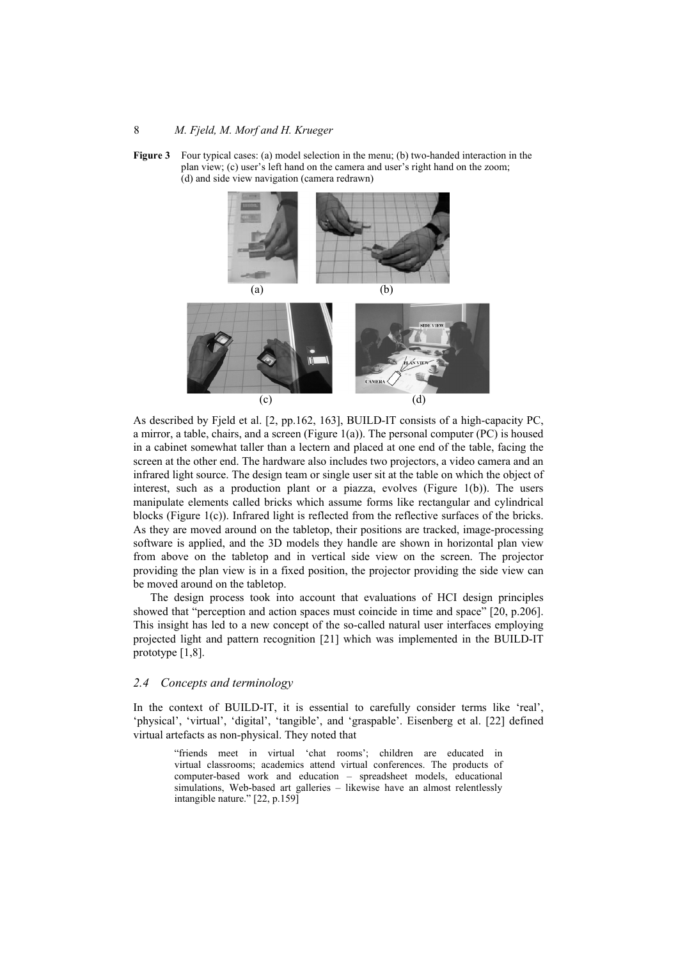



As described by Fjeld et al. [2, pp.162, 163], BUILD-IT consists of a high-capacity PC, a mirror, a table, chairs, and a screen (Figure  $1(a)$ ). The personal computer (PC) is housed in a cabinet somewhat taller than a lectern and placed at one end of the table, facing the screen at the other end. The hardware also includes two projectors, a video camera and an infrared light source. The design team or single user sit at the table on which the object of interest, such as a production plant or a piazza, evolves (Figure 1(b)). The users manipulate elements called bricks which assume forms like rectangular and cylindrical blocks (Figure 1(c)). Infrared light is reflected from the reflective surfaces of the bricks. As they are moved around on the tabletop, their positions are tracked, image-processing software is applied, and the 3D models they handle are shown in horizontal plan view from above on the tabletop and in vertical side view on the screen. The projector providing the plan view is in a fixed position, the projector providing the side view can be moved around on the tabletop.

The design process took into account that evaluations of HCI design principles showed that "perception and action spaces must coincide in time and space" [20, p.206]. This insight has led to a new concept of the so-called natural user interfaces employing projected light and pattern recognition [21] which was implemented in the BUILD-IT prototype [1,8].

## *2.4 Concepts and terminology*

In the context of BUILD-IT, it is essential to carefully consider terms like 'real', 'physical', 'virtual', 'digital', 'tangible', and 'graspable'. Eisenberg et al. [22] defined virtual artefacts as non-physical. They noted that

> "friends meet in virtual 'chat rooms'; children are educated in virtual classrooms; academics attend virtual conferences. The products of computer-based work and education – spreadsheet models, educational simulations, Web-based art galleries – likewise have an almost relentlessly intangible nature." [22, p.159]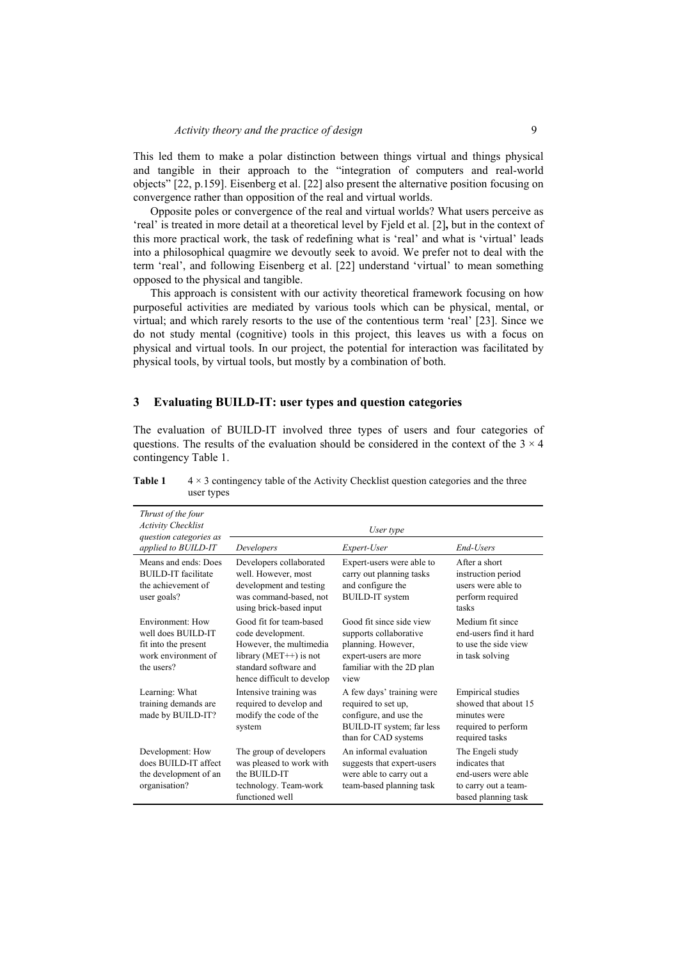This led them to make a polar distinction between things virtual and things physical and tangible in their approach to the "integration of computers and real-world objects" [22, p.159]. Eisenberg et al. [22] also present the alternative position focusing on convergence rather than opposition of the real and virtual worlds.

Opposite poles or convergence of the real and virtual worlds? What users perceive as 'real' is treated in more detail at a theoretical level by Fjeld et al. [2]**,** but in the context of this more practical work, the task of redefining what is 'real' and what is 'virtual' leads into a philosophical quagmire we devoutly seek to avoid. We prefer not to deal with the term 'real', and following Eisenberg et al. [22] understand 'virtual' to mean something opposed to the physical and tangible.

This approach is consistent with our activity theoretical framework focusing on how purposeful activities are mediated by various tools which can be physical, mental, or virtual; and which rarely resorts to the use of the contentious term 'real' [23]. Since we do not study mental (cognitive) tools in this project, this leaves us with a focus on physical and virtual tools. In our project, the potential for interaction was facilitated by physical tools, by virtual tools, but mostly by a combination of both.

#### **3 Evaluating BUILD-IT: user types and question categories**

The evaluation of BUILD-IT involved three types of users and four categories of questions. The results of the evaluation should be considered in the context of the  $3 \times 4$ contingency Table 1.

| Thrust of the four<br><b>Activity Checklist</b><br>question categories as                           | User type                                                                                                                                                    |                                                                                                                                        |                                                                                                           |  |
|-----------------------------------------------------------------------------------------------------|--------------------------------------------------------------------------------------------------------------------------------------------------------------|----------------------------------------------------------------------------------------------------------------------------------------|-----------------------------------------------------------------------------------------------------------|--|
| applied to BUILD-IT                                                                                 | Developers                                                                                                                                                   | Expert-User                                                                                                                            | End-Users                                                                                                 |  |
| Means and ends: Does<br><b>BUILD-IT</b> facilitate<br>the achievement of<br>user goals?             | Developers collaborated<br>well. However, most<br>development and testing<br>was command-based, not<br>using brick-based input                               | Expert-users were able to<br>carry out planning tasks<br>and configure the<br><b>BUILD-IT</b> system                                   | After a short<br>instruction period<br>users were able to<br>perform required<br>tasks                    |  |
| Environment: How<br>well does BUILD-IT<br>fit into the present<br>work environment of<br>the users? | Good fit for team-based<br>code development.<br>However, the multimedia<br>library ( $MET++$ ) is not<br>standard software and<br>hence difficult to develop | Good fit since side view<br>supports collaborative<br>planning. However,<br>expert-users are more<br>familiar with the 2D plan<br>view | Medium fit since<br>end-users find it hard<br>to use the side view<br>in task solving                     |  |
| Learning: What<br>training demands are<br>made by BUILD-IT?                                         | Intensive training was<br>required to develop and<br>modify the code of the<br>system                                                                        | A few days' training were<br>required to set up,<br>configure, and use the<br>BUILD-IT system; far less<br>than for CAD systems        | <b>Empirical studies</b><br>showed that about 15<br>minutes were<br>required to perform<br>required tasks |  |
| Development: How<br>does BUILD-IT affect<br>the development of an<br>organisation?                  | The group of developers<br>was pleased to work with<br>the BUILD-IT<br>technology. Team-work<br>functioned well                                              | An informal evaluation<br>suggests that expert-users<br>were able to carry out a<br>team-based planning task                           | The Engeli study<br>indicates that<br>end-users were able<br>to carry out a team-<br>based planning task  |  |

**Table 1**  $4 \times 3$  contingency table of the Activity Checklist question categories and the three user types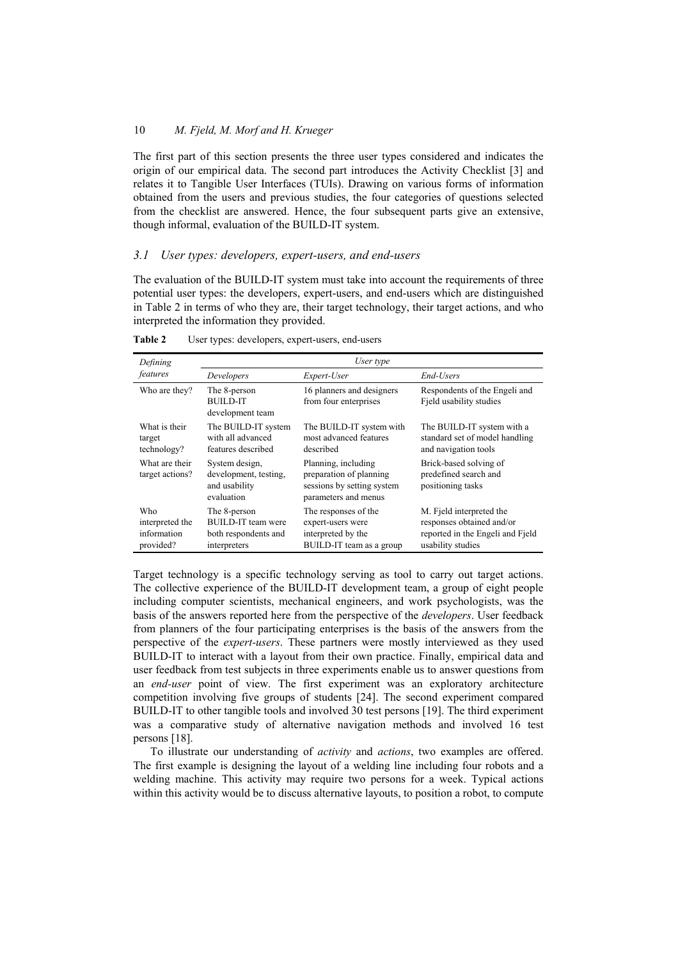The first part of this section presents the three user types considered and indicates the origin of our empirical data. The second part introduces the Activity Checklist [3] and relates it to Tangible User Interfaces (TUIs). Drawing on various forms of information obtained from the users and previous studies, the four categories of questions selected from the checklist are answered. Hence, the four subsequent parts give an extensive, though informal, evaluation of the BUILD-IT system.

## *3.1 User types: developers, expert-users, and end-users*

The evaluation of the BUILD-IT system must take into account the requirements of three potential user types: the developers, expert-users, and end-users which are distinguished in Table 2 in terms of who they are, their target technology, their target actions, and who interpreted the information they provided.

| Defining                                           | User type                                                                         |                                                                                                      |                                                                                                                |
|----------------------------------------------------|-----------------------------------------------------------------------------------|------------------------------------------------------------------------------------------------------|----------------------------------------------------------------------------------------------------------------|
| features                                           | Developers                                                                        | Expert-User                                                                                          | End-Users                                                                                                      |
| Who are they?                                      | The 8-person<br><b>BUILD-IT</b><br>development team                               | 16 planners and designers<br>from four enterprises                                                   | Respondents of the Engeli and<br>Field usability studies                                                       |
| What is their<br>target<br>technology?             | The BUILD-IT system<br>with all advanced<br>features described                    | The BUILD-IT system with<br>most advanced features<br>described                                      | The BUILD-IT system with a<br>standard set of model handling<br>and navigation tools                           |
| What are their<br>target actions?                  | System design,<br>development, testing,<br>and usability<br>evaluation            | Planning, including<br>preparation of planning<br>sessions by setting system<br>parameters and menus | Brick-based solving of<br>predefined search and<br>positioning tasks                                           |
| Who<br>interpreted the<br>information<br>provided? | The 8-person<br><b>BUILD-IT</b> team were<br>both respondents and<br>interpreters | The responses of the<br>expert-users were<br>interpreted by the<br>BUILD-IT team as a group          | M. Fjeld interpreted the<br>responses obtained and/or<br>reported in the Engeli and Fjeld<br>usability studies |

**Table 2** User types: developers, expert-users, end-users

Target technology is a specific technology serving as tool to carry out target actions. The collective experience of the BUILD-IT development team, a group of eight people including computer scientists, mechanical engineers, and work psychologists, was the basis of the answers reported here from the perspective of the *developers*. User feedback from planners of the four participating enterprises is the basis of the answers from the perspective of the *expert-users*. These partners were mostly interviewed as they used BUILD-IT to interact with a layout from their own practice. Finally, empirical data and user feedback from test subjects in three experiments enable us to answer questions from an *end-user* point of view. The first experiment was an exploratory architecture competition involving five groups of students [24]. The second experiment compared BUILD-IT to other tangible tools and involved 30 test persons [19]. The third experiment was a comparative study of alternative navigation methods and involved 16 test persons [18].

To illustrate our understanding of *activity* and *actions*, two examples are offered. The first example is designing the layout of a welding line including four robots and a welding machine. This activity may require two persons for a week. Typical actions within this activity would be to discuss alternative layouts, to position a robot, to compute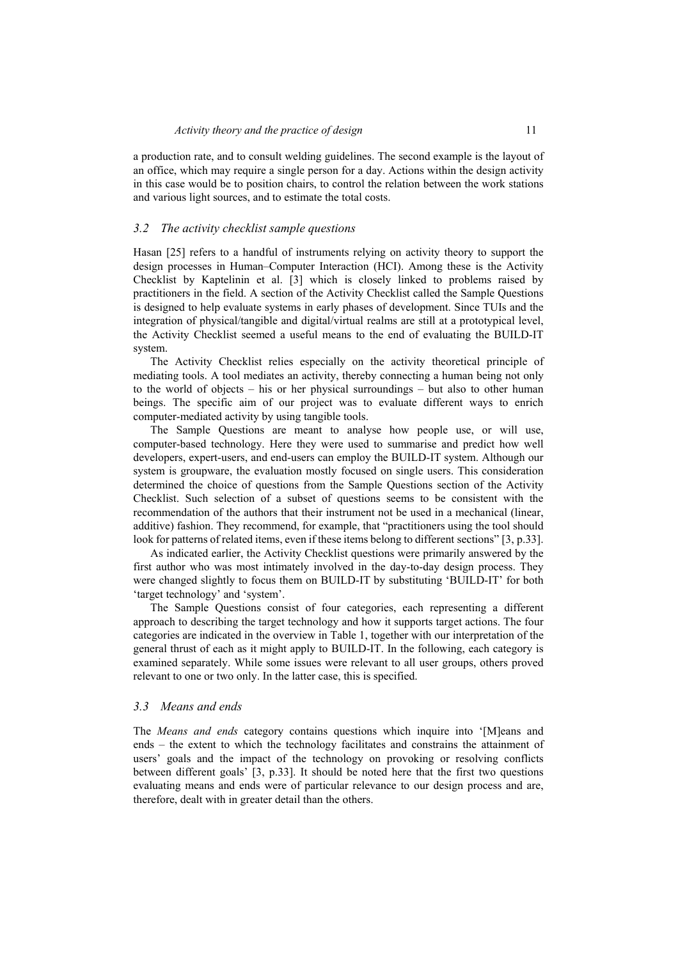a production rate, and to consult welding guidelines. The second example is the layout of an office, which may require a single person for a day. Actions within the design activity in this case would be to position chairs, to control the relation between the work stations and various light sources, and to estimate the total costs.

#### *3.2 The activity checklist sample questions*

Hasan [25] refers to a handful of instruments relying on activity theory to support the design processes in Human–Computer Interaction (HCI). Among these is the Activity Checklist by Kaptelinin et al. [3] which is closely linked to problems raised by practitioners in the field. A section of the Activity Checklist called the Sample Questions is designed to help evaluate systems in early phases of development. Since TUIs and the integration of physical/tangible and digital/virtual realms are still at a prototypical level, the Activity Checklist seemed a useful means to the end of evaluating the BUILD-IT system.

The Activity Checklist relies especially on the activity theoretical principle of mediating tools. A tool mediates an activity, thereby connecting a human being not only to the world of objects – his or her physical surroundings – but also to other human beings. The specific aim of our project was to evaluate different ways to enrich computer-mediated activity by using tangible tools.

The Sample Questions are meant to analyse how people use, or will use, computer-based technology. Here they were used to summarise and predict how well developers, expert-users, and end-users can employ the BUILD-IT system. Although our system is groupware, the evaluation mostly focused on single users. This consideration determined the choice of questions from the Sample Questions section of the Activity Checklist. Such selection of a subset of questions seems to be consistent with the recommendation of the authors that their instrument not be used in a mechanical (linear, additive) fashion. They recommend, for example, that "practitioners using the tool should look for patterns of related items, even if these items belong to different sections" [3, p.33].

As indicated earlier, the Activity Checklist questions were primarily answered by the first author who was most intimately involved in the day-to-day design process. They were changed slightly to focus them on BUILD-IT by substituting 'BUILD-IT' for both 'target technology' and 'system'.

The Sample Questions consist of four categories, each representing a different approach to describing the target technology and how it supports target actions. The four categories are indicated in the overview in Table 1, together with our interpretation of the general thrust of each as it might apply to BUILD-IT. In the following, each category is examined separately. While some issues were relevant to all user groups, others proved relevant to one or two only. In the latter case, this is specified.

### *3.3 Means and ends*

The *Means and ends* category contains questions which inquire into '[M]eans and ends – the extent to which the technology facilitates and constrains the attainment of users' goals and the impact of the technology on provoking or resolving conflicts between different goals' [3, p.33]. It should be noted here that the first two questions evaluating means and ends were of particular relevance to our design process and are, therefore, dealt with in greater detail than the others.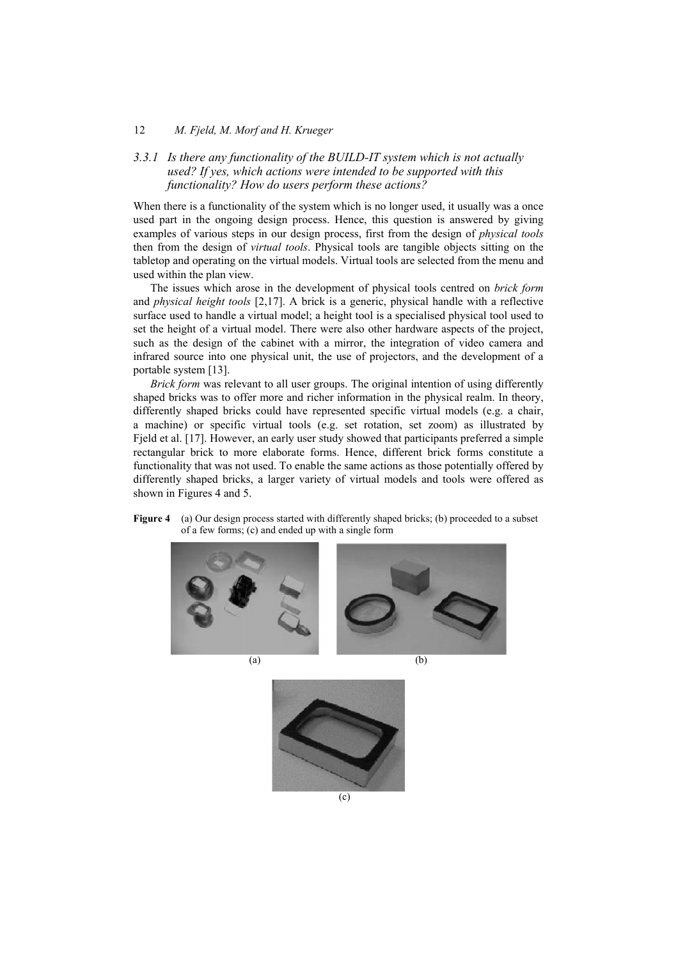# *3.3.1 Is there any functionality of the BUILD-IT system which is not actually used? If yes, which actions were intended to be supported with this functionality? How do users perform these actions?*

When there is a functionality of the system which is no longer used, it usually was a once used part in the ongoing design process. Hence, this question is answered by giving examples of various steps in our design process, first from the design of *physical tools*  then from the design of *virtual tools*. Physical tools are tangible objects sitting on the tabletop and operating on the virtual models. Virtual tools are selected from the menu and used within the plan view.

The issues which arose in the development of physical tools centred on *brick form*  and *physical height tools* [2,17]. A brick is a generic, physical handle with a reflective surface used to handle a virtual model; a height tool is a specialised physical tool used to set the height of a virtual model. There were also other hardware aspects of the project, such as the design of the cabinet with a mirror, the integration of video camera and infrared source into one physical unit, the use of projectors, and the development of a portable system [13].

*Brick form* was relevant to all user groups. The original intention of using differently shaped bricks was to offer more and richer information in the physical realm. In theory, differently shaped bricks could have represented specific virtual models (e.g. a chair, a machine) or specific virtual tools (e.g. set rotation, set zoom) as illustrated by Fjeld et al. [17]. However, an early user study showed that participants preferred a simple rectangular brick to more elaborate forms. Hence, different brick forms constitute a functionality that was not used. To enable the same actions as those potentially offered by differently shaped bricks, a larger variety of virtual models and tools were offered as shown in Figures 4 and 5.

**Figure 4** (a) Our design process started with differently shaped bricks; (b) proceeded to a subset of a few forms; (c) and ended up with a single form





 $(a)$  (b)

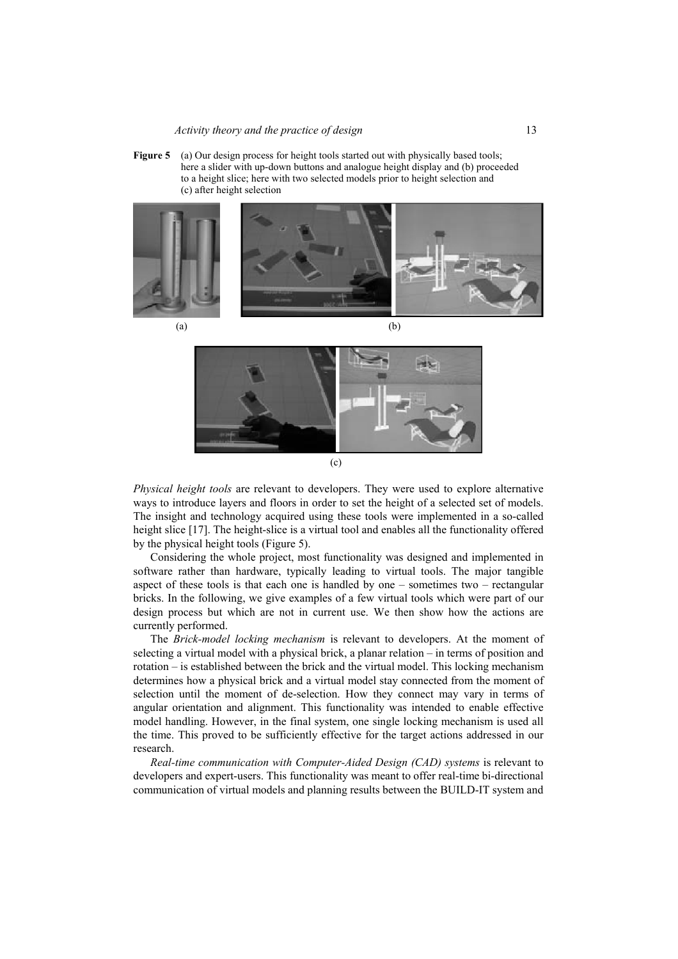**Figure 5** (a) Our design process for height tools started out with physically based tools; here a slider with up-down buttons and analogue height display and (b) proceeded to a height slice; here with two selected models prior to height selection and (c) after height selection







*Physical height tools* are relevant to developers. They were used to explore alternative ways to introduce layers and floors in order to set the height of a selected set of models. The insight and technology acquired using these tools were implemented in a so-called height slice [17]. The height-slice is a virtual tool and enables all the functionality offered by the physical height tools (Figure 5).

Considering the whole project, most functionality was designed and implemented in software rather than hardware, typically leading to virtual tools. The major tangible aspect of these tools is that each one is handled by one – sometimes two – rectangular bricks. In the following, we give examples of a few virtual tools which were part of our design process but which are not in current use. We then show how the actions are currently performed.

The *Brick-model locking mechanism* is relevant to developers. At the moment of selecting a virtual model with a physical brick, a planar relation – in terms of position and rotation – is established between the brick and the virtual model. This locking mechanism determines how a physical brick and a virtual model stay connected from the moment of selection until the moment of de-selection. How they connect may vary in terms of angular orientation and alignment. This functionality was intended to enable effective model handling. However, in the final system, one single locking mechanism is used all the time. This proved to be sufficiently effective for the target actions addressed in our research.

*Real-time communication with Computer-Aided Design (CAD) systems is relevant to* developers and expert-users. This functionality was meant to offer real-time bi-directional communication of virtual models and planning results between the BUILD-IT system and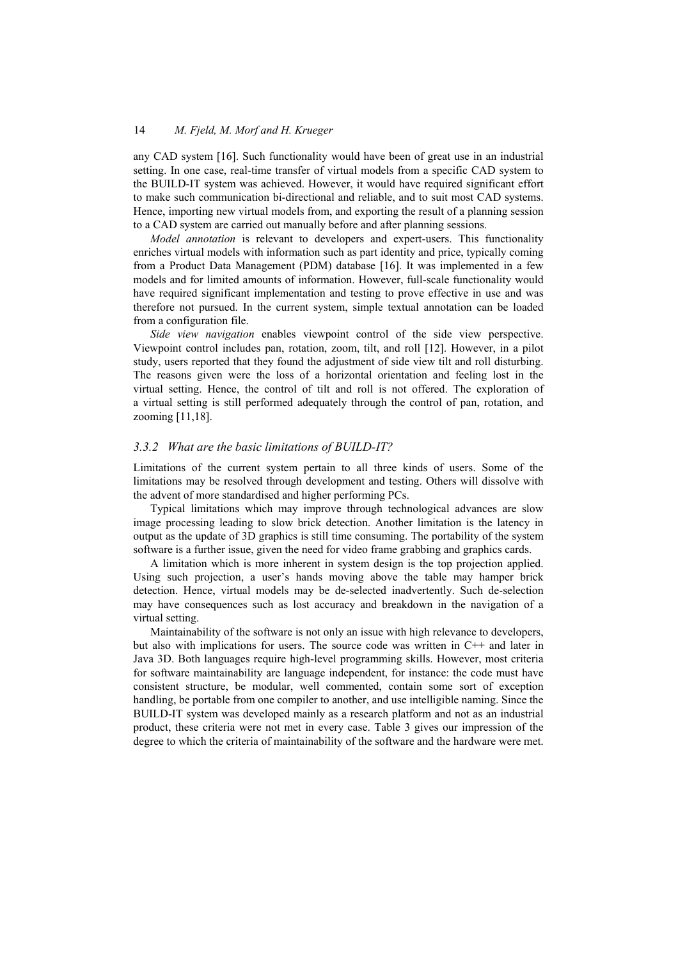any CAD system [16]. Such functionality would have been of great use in an industrial setting. In one case, real-time transfer of virtual models from a specific CAD system to the BUILD-IT system was achieved. However, it would have required significant effort to make such communication bi-directional and reliable, and to suit most CAD systems. Hence, importing new virtual models from, and exporting the result of a planning session to a CAD system are carried out manually before and after planning sessions.

*Model annotation* is relevant to developers and expert-users. This functionality enriches virtual models with information such as part identity and price, typically coming from a Product Data Management (PDM) database [16]. It was implemented in a few models and for limited amounts of information. However, full-scale functionality would have required significant implementation and testing to prove effective in use and was therefore not pursued. In the current system, simple textual annotation can be loaded from a configuration file.

*Side view navigation* enables viewpoint control of the side view perspective. Viewpoint control includes pan, rotation, zoom, tilt, and roll [12]. However, in a pilot study, users reported that they found the adjustment of side view tilt and roll disturbing. The reasons given were the loss of a horizontal orientation and feeling lost in the virtual setting. Hence, the control of tilt and roll is not offered. The exploration of a virtual setting is still performed adequately through the control of pan, rotation, and zooming [11,18].

#### *3.3.2 What are the basic limitations of BUILD-IT?*

Limitations of the current system pertain to all three kinds of users. Some of the limitations may be resolved through development and testing. Others will dissolve with the advent of more standardised and higher performing PCs.

Typical limitations which may improve through technological advances are slow image processing leading to slow brick detection. Another limitation is the latency in output as the update of 3D graphics is still time consuming. The portability of the system software is a further issue, given the need for video frame grabbing and graphics cards.

A limitation which is more inherent in system design is the top projection applied. Using such projection, a user's hands moving above the table may hamper brick detection. Hence, virtual models may be de-selected inadvertently. Such de-selection may have consequences such as lost accuracy and breakdown in the navigation of a virtual setting.

Maintainability of the software is not only an issue with high relevance to developers, but also with implications for users. The source code was written in C++ and later in Java 3D. Both languages require high-level programming skills. However, most criteria for software maintainability are language independent, for instance: the code must have consistent structure, be modular, well commented, contain some sort of exception handling, be portable from one compiler to another, and use intelligible naming. Since the BUILD-IT system was developed mainly as a research platform and not as an industrial product, these criteria were not met in every case. Table 3 gives our impression of the degree to which the criteria of maintainability of the software and the hardware were met.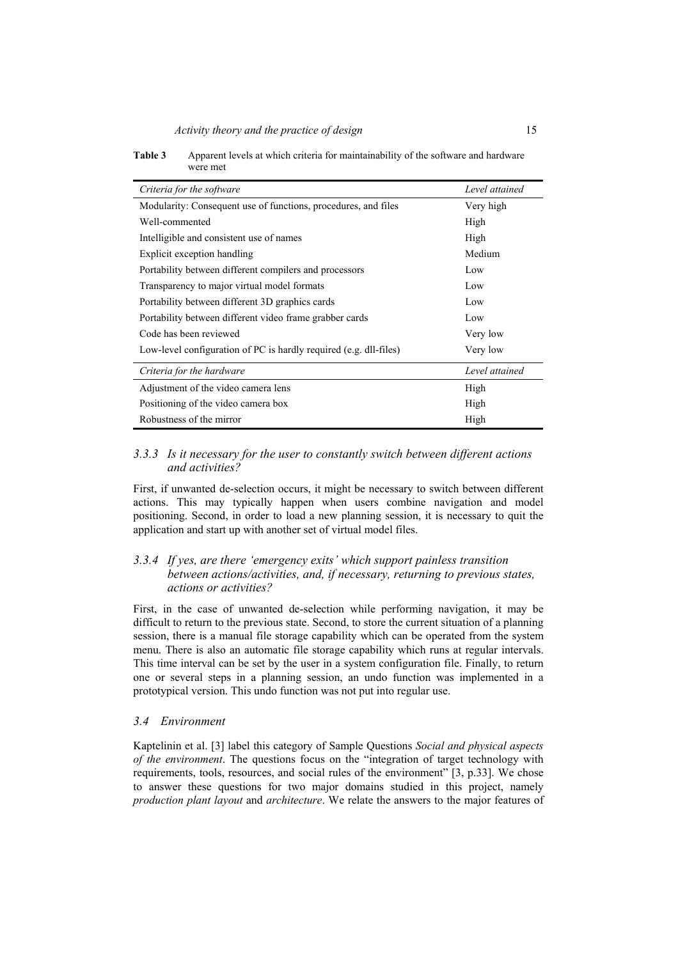| Criteria for the software                                         | Level attained |
|-------------------------------------------------------------------|----------------|
| Modularity: Consequent use of functions, procedures, and files    | Very high      |
| Well-commented                                                    | High           |
| Intelligible and consistent use of names                          | High           |
| Explicit exception handling                                       | Medium         |
| Portability between different compilers and processors            | Low            |
| Transparency to major virtual model formats                       | Low            |
| Portability between different 3D graphics cards                   | Low            |
| Portability between different video frame grabber cards           | Low            |
| Code has been reviewed                                            | Very low       |
| Low-level configuration of PC is hardly required (e.g. dll-files) | Very low       |
| Criteria for the hardware                                         | Level attained |
| Adjustment of the video camera lens                               | High           |
| Positioning of the video camera box                               | High           |
| Robustness of the mirror                                          | High           |

**Table 3** Apparent levels at which criteria for maintainability of the software and hardware were met

# *3.3.3 Is it necessary for the user to constantly switch between different actions and activities?*

First, if unwanted de-selection occurs, it might be necessary to switch between different actions. This may typically happen when users combine navigation and model positioning. Second, in order to load a new planning session, it is necessary to quit the application and start up with another set of virtual model files.

## *3.3.4 If yes, are there 'emergency exits' which support painless transition between actions/activities, and, if necessary, returning to previous states, actions or activities?*

First, in the case of unwanted de-selection while performing navigation, it may be difficult to return to the previous state. Second, to store the current situation of a planning session, there is a manual file storage capability which can be operated from the system menu. There is also an automatic file storage capability which runs at regular intervals. This time interval can be set by the user in a system configuration file. Finally, to return one or several steps in a planning session, an undo function was implemented in a prototypical version. This undo function was not put into regular use.

## *3.4 Environment*

Kaptelinin et al. [3] label this category of Sample Questions *Social and physical aspects of the environment*. The questions focus on the "integration of target technology with requirements, tools, resources, and social rules of the environment" [3, p.33]. We chose to answer these questions for two major domains studied in this project, namely *production plant layout* and *architecture*. We relate the answers to the major features of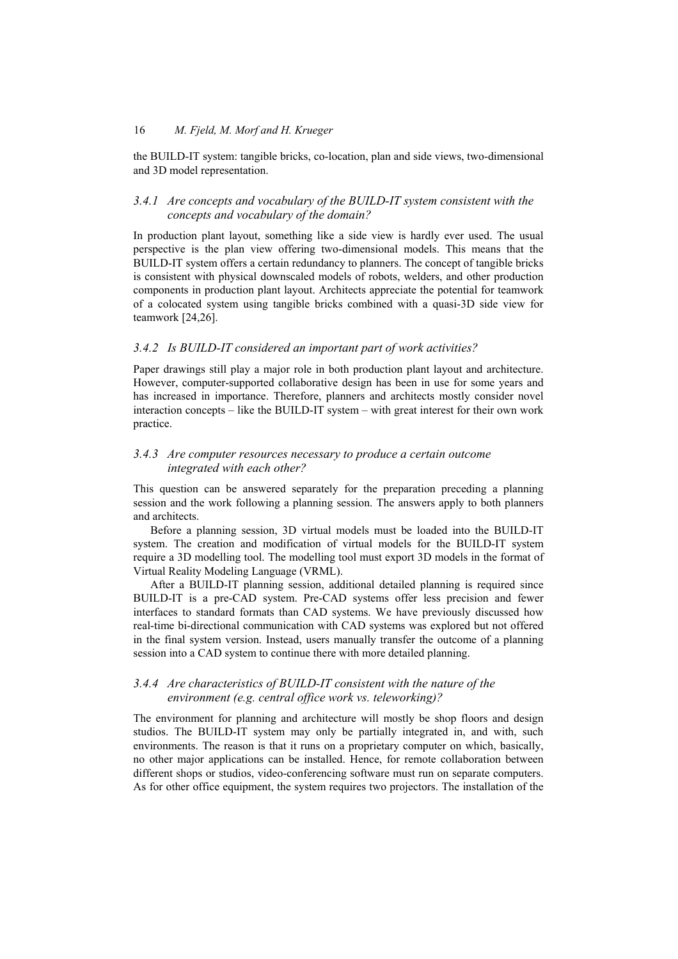the BUILD-IT system: tangible bricks, co-location, plan and side views, two-dimensional and 3D model representation.

### *3.4.1 Are concepts and vocabulary of the BUILD-IT system consistent with the concepts and vocabulary of the domain?*

In production plant layout, something like a side view is hardly ever used. The usual perspective is the plan view offering two-dimensional models. This means that the BUILD-IT system offers a certain redundancy to planners. The concept of tangible bricks is consistent with physical downscaled models of robots, welders, and other production components in production plant layout. Architects appreciate the potential for teamwork of a colocated system using tangible bricks combined with a quasi-3D side view for teamwork [24,26].

## *3.4.2 Is BUILD-IT considered an important part of work activities?*

Paper drawings still play a major role in both production plant layout and architecture. However, computer-supported collaborative design has been in use for some years and has increased in importance. Therefore, planners and architects mostly consider novel interaction concepts – like the BUILD-IT system – with great interest for their own work practice.

## *3.4.3 Are computer resources necessary to produce a certain outcome integrated with each other?*

This question can be answered separately for the preparation preceding a planning session and the work following a planning session. The answers apply to both planners and architects.

Before a planning session, 3D virtual models must be loaded into the BUILD-IT system. The creation and modification of virtual models for the BUILD-IT system require a 3D modelling tool. The modelling tool must export 3D models in the format of Virtual Reality Modeling Language (VRML).

After a BUILD-IT planning session, additional detailed planning is required since BUILD-IT is a pre-CAD system. Pre-CAD systems offer less precision and fewer interfaces to standard formats than CAD systems. We have previously discussed how real-time bi-directional communication with CAD systems was explored but not offered in the final system version. Instead, users manually transfer the outcome of a planning session into a CAD system to continue there with more detailed planning.

## *3.4.4 Are characteristics of BUILD-IT consistent with the nature of the environment (e.g. central office work vs. teleworking)?*

The environment for planning and architecture will mostly be shop floors and design studios. The BUILD-IT system may only be partially integrated in, and with, such environments. The reason is that it runs on a proprietary computer on which, basically, no other major applications can be installed. Hence, for remote collaboration between different shops or studios, video-conferencing software must run on separate computers. As for other office equipment, the system requires two projectors. The installation of the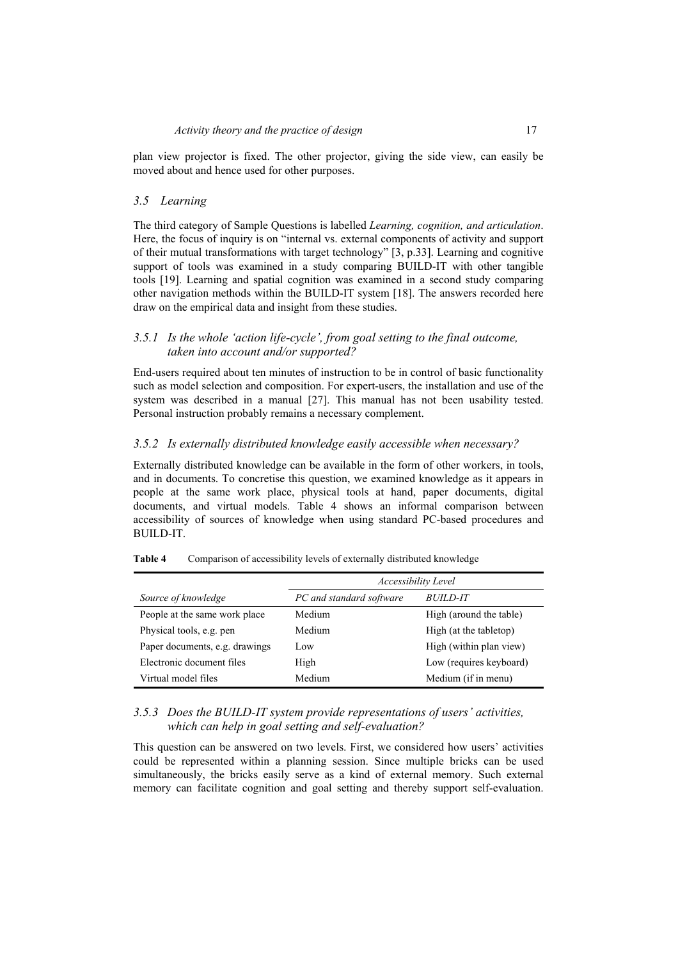plan view projector is fixed. The other projector, giving the side view, can easily be moved about and hence used for other purposes.

#### *3.5 Learning*

The third category of Sample Questions is labelled *Learning, cognition, and articulation*. Here, the focus of inquiry is on "internal vs. external components of activity and support of their mutual transformations with target technology" [3, p.33]. Learning and cognitive support of tools was examined in a study comparing BUILD-IT with other tangible tools [19]. Learning and spatial cognition was examined in a second study comparing other navigation methods within the BUILD-IT system [18]. The answers recorded here draw on the empirical data and insight from these studies.

## *3.5.1 Is the whole 'action life-cycle', from goal setting to the final outcome, taken into account and/or supported?*

End-users required about ten minutes of instruction to be in control of basic functionality such as model selection and composition. For expert-users, the installation and use of the system was described in a manual [27]. This manual has not been usability tested. Personal instruction probably remains a necessary complement.

## *3.5.2 Is externally distributed knowledge easily accessible when necessary?*

Externally distributed knowledge can be available in the form of other workers, in tools, and in documents. To concretise this question, we examined knowledge as it appears in people at the same work place, physical tools at hand, paper documents, digital documents, and virtual models. Table 4 shows an informal comparison between accessibility of sources of knowledge when using standard PC-based procedures and BUILD-IT.

|                                | Accessibility Level      |                         |  |
|--------------------------------|--------------------------|-------------------------|--|
| Source of knowledge            | PC and standard software | <i>BUILD-IT</i>         |  |
| People at the same work place  | Medium                   | High (around the table) |  |
| Physical tools, e.g. pen       | Medium                   | High (at the tabletop)  |  |
| Paper documents, e.g. drawings | Low.                     | High (within plan view) |  |
| Electronic document files      | High                     | Low (requires keyboard) |  |
| Virtual model files            | Medium                   | Medium (if in menu)     |  |

**Table 4** Comparison of accessibility levels of externally distributed knowledge

## *3.5.3 Does the BUILD-IT system provide representations of users' activities, which can help in goal setting and self-evaluation?*

This question can be answered on two levels. First, we considered how users' activities could be represented within a planning session. Since multiple bricks can be used simultaneously, the bricks easily serve as a kind of external memory. Such external memory can facilitate cognition and goal setting and thereby support self-evaluation.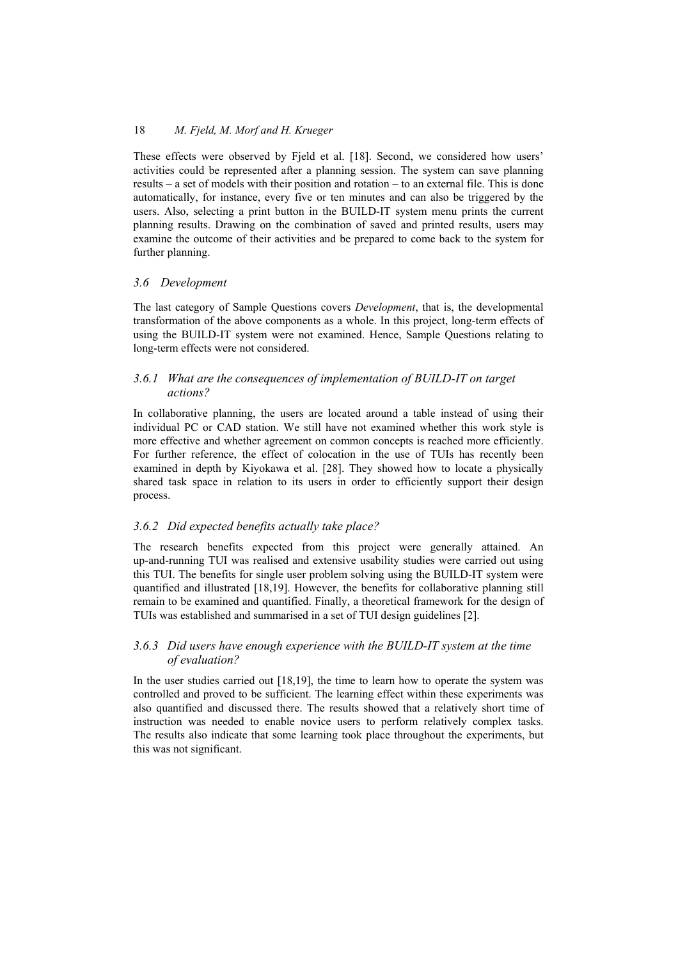These effects were observed by Fjeld et al. [18]. Second, we considered how users' activities could be represented after a planning session. The system can save planning results – a set of models with their position and rotation – to an external file. This is done automatically, for instance, every five or ten minutes and can also be triggered by the users. Also, selecting a print button in the BUILD-IT system menu prints the current planning results. Drawing on the combination of saved and printed results, users may examine the outcome of their activities and be prepared to come back to the system for further planning.

### *3.6 Development*

The last category of Sample Questions covers *Development*, that is, the developmental transformation of the above components as a whole. In this project, long-term effects of using the BUILD-IT system were not examined. Hence, Sample Questions relating to long-term effects were not considered.

### *3.6.1 What are the consequences of implementation of BUILD-IT on target actions?*

In collaborative planning, the users are located around a table instead of using their individual PC or CAD station. We still have not examined whether this work style is more effective and whether agreement on common concepts is reached more efficiently. For further reference, the effect of colocation in the use of TUIs has recently been examined in depth by Kiyokawa et al. [28]. They showed how to locate a physically shared task space in relation to its users in order to efficiently support their design process.

#### *3.6.2 Did expected benefits actually take place?*

The research benefits expected from this project were generally attained. An up-and-running TUI was realised and extensive usability studies were carried out using this TUI. The benefits for single user problem solving using the BUILD-IT system were quantified and illustrated [18,19]. However, the benefits for collaborative planning still remain to be examined and quantified. Finally, a theoretical framework for the design of TUIs was established and summarised in a set of TUI design guidelines [2].

## *3.6.3 Did users have enough experience with the BUILD-IT system at the time of evaluation?*

In the user studies carried out [18,19], the time to learn how to operate the system was controlled and proved to be sufficient. The learning effect within these experiments was also quantified and discussed there. The results showed that a relatively short time of instruction was needed to enable novice users to perform relatively complex tasks. The results also indicate that some learning took place throughout the experiments, but this was not significant.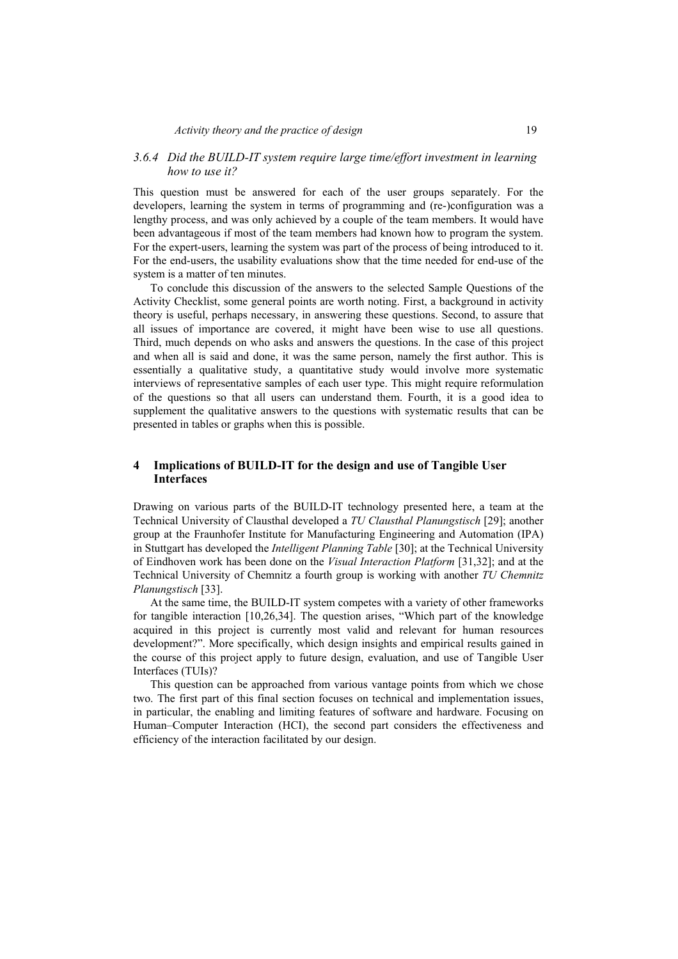## *3.6.4 Did the BUILD-IT system require large time/effort investment in learning how to use it?*

This question must be answered for each of the user groups separately. For the developers, learning the system in terms of programming and (re-)configuration was a lengthy process, and was only achieved by a couple of the team members. It would have been advantageous if most of the team members had known how to program the system. For the expert-users, learning the system was part of the process of being introduced to it. For the end-users, the usability evaluations show that the time needed for end-use of the system is a matter of ten minutes.

To conclude this discussion of the answers to the selected Sample Questions of the Activity Checklist, some general points are worth noting. First, a background in activity theory is useful, perhaps necessary, in answering these questions. Second, to assure that all issues of importance are covered, it might have been wise to use all questions. Third, much depends on who asks and answers the questions. In the case of this project and when all is said and done, it was the same person, namely the first author. This is essentially a qualitative study, a quantitative study would involve more systematic interviews of representative samples of each user type. This might require reformulation of the questions so that all users can understand them. Fourth, it is a good idea to supplement the qualitative answers to the questions with systematic results that can be presented in tables or graphs when this is possible.

## **4 Implications of BUILD-IT for the design and use of Tangible User Interfaces**

Drawing on various parts of the BUILD-IT technology presented here, a team at the Technical University of Clausthal developed a *TU Clausthal Planungstisch* [29]; another group at the Fraunhofer Institute for Manufacturing Engineering and Automation (IPA) in Stuttgart has developed the *Intelligent Planning Table* [30]; at the Technical University of Eindhoven work has been done on the *Visual Interaction Platform* [31,32]; and at the Technical University of Chemnitz a fourth group is working with another *TU Chemnitz Planungstisch* [33].

At the same time, the BUILD-IT system competes with a variety of other frameworks for tangible interaction [10,26,34]. The question arises, "Which part of the knowledge acquired in this project is currently most valid and relevant for human resources development?". More specifically, which design insights and empirical results gained in the course of this project apply to future design, evaluation, and use of Tangible User Interfaces (TUIs)?

This question can be approached from various vantage points from which we chose two. The first part of this final section focuses on technical and implementation issues, in particular, the enabling and limiting features of software and hardware. Focusing on Human–Computer Interaction (HCI), the second part considers the effectiveness and efficiency of the interaction facilitated by our design.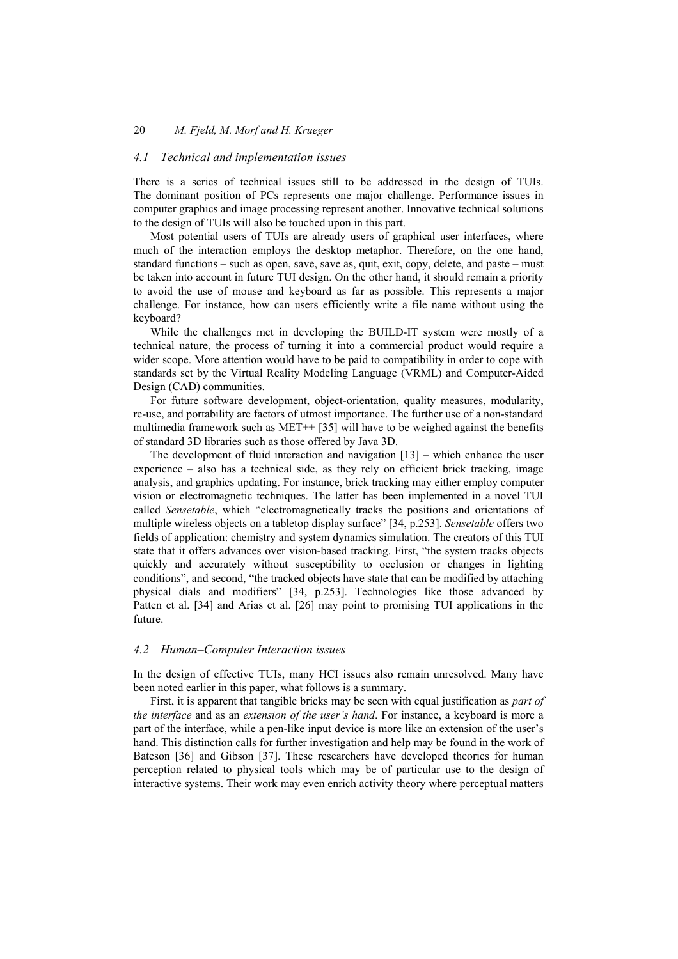## *4.1 Technical and implementation issues*

There is a series of technical issues still to be addressed in the design of TUIs. The dominant position of PCs represents one major challenge. Performance issues in computer graphics and image processing represent another. Innovative technical solutions to the design of TUIs will also be touched upon in this part.

Most potential users of TUIs are already users of graphical user interfaces, where much of the interaction employs the desktop metaphor. Therefore, on the one hand, standard functions – such as open, save, save as, quit, exit, copy, delete, and paste – must be taken into account in future TUI design. On the other hand, it should remain a priority to avoid the use of mouse and keyboard as far as possible. This represents a major challenge. For instance, how can users efficiently write a file name without using the keyboard?

While the challenges met in developing the BUILD-IT system were mostly of a technical nature, the process of turning it into a commercial product would require a wider scope. More attention would have to be paid to compatibility in order to cope with standards set by the Virtual Reality Modeling Language (VRML) and Computer-Aided Design (CAD) communities.

For future software development, object-orientation, quality measures, modularity, re-use, and portability are factors of utmost importance. The further use of a non-standard multimedia framework such as MET++ [35] will have to be weighed against the benefits of standard 3D libraries such as those offered by Java 3D.

The development of fluid interaction and navigation  $[13]$  – which enhance the user experience – also has a technical side, as they rely on efficient brick tracking, image analysis, and graphics updating. For instance, brick tracking may either employ computer vision or electromagnetic techniques. The latter has been implemented in a novel TUI called *Sensetable*, which "electromagnetically tracks the positions and orientations of multiple wireless objects on a tabletop display surface" [34, p.253]. *Sensetable* offers two fields of application: chemistry and system dynamics simulation. The creators of this TUI state that it offers advances over vision-based tracking. First, "the system tracks objects quickly and accurately without susceptibility to occlusion or changes in lighting conditions", and second, "the tracked objects have state that can be modified by attaching physical dials and modifiers" [34, p.253]. Technologies like those advanced by Patten et al. [34] and Arias et al. [26] may point to promising TUI applications in the future.

#### *4.2 Human–Computer Interaction issues*

In the design of effective TUIs, many HCI issues also remain unresolved. Many have been noted earlier in this paper, what follows is a summary.

First, it is apparent that tangible bricks may be seen with equal justification as *part of the interface* and as an *extension of the user's hand*. For instance, a keyboard is more a part of the interface, while a pen-like input device is more like an extension of the user's hand. This distinction calls for further investigation and help may be found in the work of Bateson [36] and Gibson [37]. These researchers have developed theories for human perception related to physical tools which may be of particular use to the design of interactive systems. Their work may even enrich activity theory where perceptual matters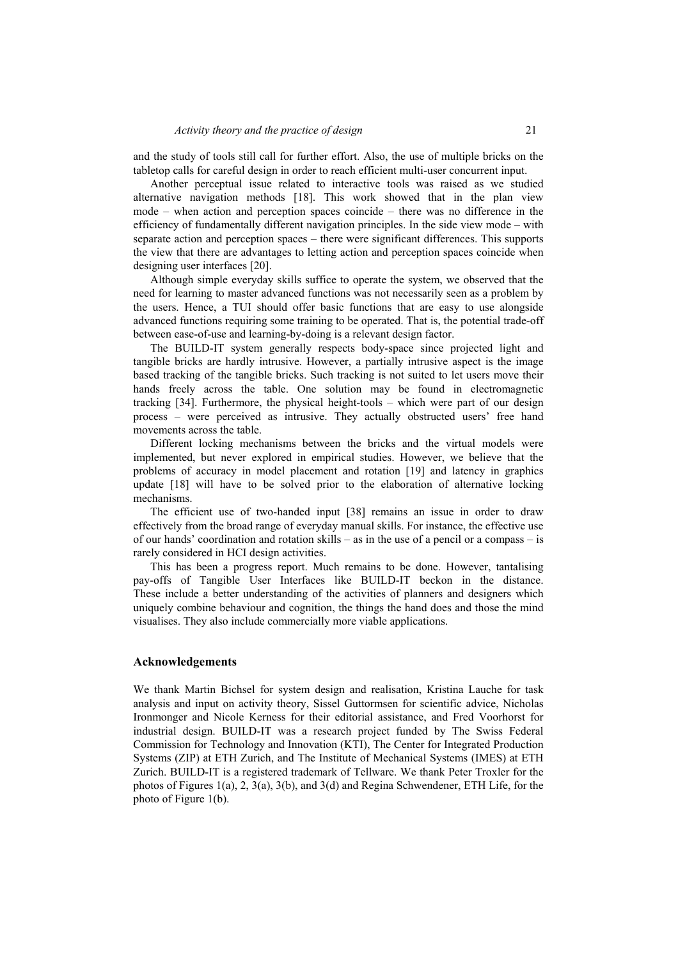and the study of tools still call for further effort. Also, the use of multiple bricks on the tabletop calls for careful design in order to reach efficient multi-user concurrent input.

Another perceptual issue related to interactive tools was raised as we studied alternative navigation methods [18]. This work showed that in the plan view mode – when action and perception spaces coincide – there was no difference in the efficiency of fundamentally different navigation principles. In the side view mode – with separate action and perception spaces – there were significant differences. This supports the view that there are advantages to letting action and perception spaces coincide when designing user interfaces [20].

Although simple everyday skills suffice to operate the system, we observed that the need for learning to master advanced functions was not necessarily seen as a problem by the users. Hence, a TUI should offer basic functions that are easy to use alongside advanced functions requiring some training to be operated. That is, the potential trade-off between ease-of-use and learning-by-doing is a relevant design factor.

The BUILD-IT system generally respects body-space since projected light and tangible bricks are hardly intrusive. However, a partially intrusive aspect is the image based tracking of the tangible bricks. Such tracking is not suited to let users move their hands freely across the table. One solution may be found in electromagnetic tracking [34]. Furthermore, the physical height-tools – which were part of our design process – were perceived as intrusive. They actually obstructed users' free hand movements across the table.

Different locking mechanisms between the bricks and the virtual models were implemented, but never explored in empirical studies. However, we believe that the problems of accuracy in model placement and rotation [19] and latency in graphics update [18] will have to be solved prior to the elaboration of alternative locking mechanisms.

The efficient use of two-handed input [38] remains an issue in order to draw effectively from the broad range of everyday manual skills. For instance, the effective use of our hands' coordination and rotation skills – as in the use of a pencil or a compass – is rarely considered in HCI design activities.

This has been a progress report. Much remains to be done. However, tantalising pay-offs of Tangible User Interfaces like BUILD-IT beckon in the distance. These include a better understanding of the activities of planners and designers which uniquely combine behaviour and cognition, the things the hand does and those the mind visualises. They also include commercially more viable applications.

#### **Acknowledgements**

We thank Martin Bichsel for system design and realisation, Kristina Lauche for task analysis and input on activity theory, Sissel Guttormsen for scientific advice, Nicholas Ironmonger and Nicole Kerness for their editorial assistance, and Fred Voorhorst for industrial design. BUILD-IT was a research project funded by The Swiss Federal Commission for Technology and Innovation (KTI), The Center for Integrated Production Systems (ZIP) at ETH Zurich, and The Institute of Mechanical Systems (IMES) at ETH Zurich. BUILD-IT is a registered trademark of Tellware. We thank Peter Troxler for the photos of Figures 1(a), 2, 3(a), 3(b), and 3(d) and Regina Schwendener, ETH Life, for the photo of Figure 1(b).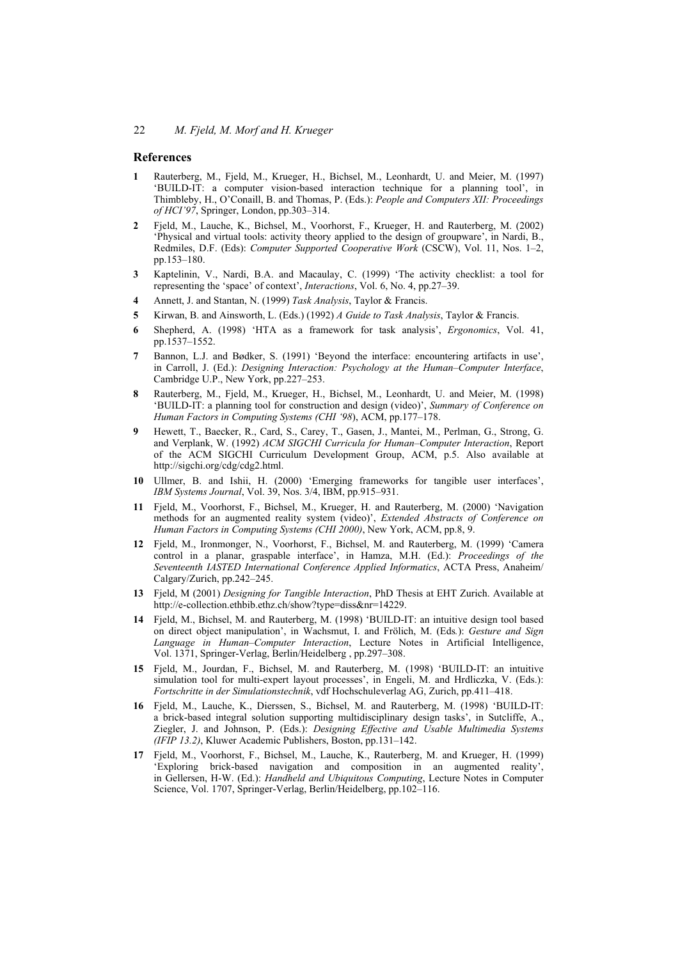### **References**

- **1** Rauterberg, M., Fjeld, M., Krueger, H., Bichsel, M., Leonhardt, U. and Meier, M. (1997) 'BUILD-IT: a computer vision-based interaction technique for a planning tool', in Thimbleby, H., O'Conaill, B. and Thomas, P. (Eds.): *People and Computers XII: Proceedings of HCI'97*, Springer, London, pp.303–314.
- **2** Fjeld, M., Lauche, K., Bichsel, M., Voorhorst, F., Krueger, H. and Rauterberg, M. (2002) 'Physical and virtual tools: activity theory applied to the design of groupware', in Nardi, B., Redmiles, D.F. (Eds): *Computer Supported Cooperative Work* (CSCW), Vol. 11, Nos. 1–2, pp.153–180.
- **3** Kaptelinin, V., Nardi, B.A. and Macaulay, C. (1999) 'The activity checklist: a tool for representing the 'space' of context', *Interactions*, Vol. 6, No. 4, pp.27–39.
- **4** Annett, J. and Stantan, N. (1999) *Task Analysis*, Taylor & Francis.
- **5** Kirwan, B. and Ainsworth, L. (Eds.) (1992) *A Guide to Task Analysis*, Taylor & Francis.
- **6** Shepherd, A. (1998) 'HTA as a framework for task analysis', *Ergonomics*, Vol. 41, pp.1537–1552.
- **7** Bannon, L.J. and Bødker, S. (1991) 'Beyond the interface: encountering artifacts in use', in Carroll, J. (Ed.): *Designing Interaction: Psychology at the Human–Computer Interface*, Cambridge U.P., New York, pp.227–253.
- **8** Rauterberg, M., Fjeld, M., Krueger, H., Bichsel, M., Leonhardt, U. and Meier, M. (1998) 'BUILD-IT: a planning tool for construction and design (video)', *Summary of Conference on Human Factors in Computing Systems (CHI '98*), ACM, pp.177–178.
- **9** Hewett, T., Baecker, R., Card, S., Carey, T., Gasen, J., Mantei, M., Perlman, G., Strong, G. and Verplank, W. (1992) *ACM SIGCHI Curricula for Human–Computer Interaction*, Report of the ACM SIGCHI Curriculum Development Group, ACM, p.5. Also available at http://sigchi.org/cdg/cdg2.html.
- **10** Ullmer, B. and Ishii, H. (2000) 'Emerging frameworks for tangible user interfaces', *IBM Systems Journal*, Vol. 39, Nos. 3/4, IBM, pp.915–931.
- **11** Fjeld, M., Voorhorst, F., Bichsel, M., Krueger, H. and Rauterberg, M. (2000) 'Navigation methods for an augmented reality system (video)', *Extended Abstracts of Conference on Human Factors in Computing Systems (CHI 2000)*, New York, ACM, pp.8, 9.
- **12** Fjeld, M., Ironmonger, N., Voorhorst, F., Bichsel, M. and Rauterberg, M. (1999) 'Camera control in a planar, graspable interface', in Hamza, M.H. (Ed.): *Proceedings of the Seventeenth IASTED International Conference Applied Informatics*, ACTA Press, Anaheim/ Calgary/Zurich, pp.242–245.
- **13** Fjeld, M (2001) *Designing for Tangible Interaction*, PhD Thesis at EHT Zurich. Available at http://e-collection.ethbib.ethz.ch/show?type=diss&nr=14229.
- **14** Fjeld, M., Bichsel, M. and Rauterberg, M. (1998) 'BUILD-IT: an intuitive design tool based on direct object manipulation', in Wachsmut, I. and Frölich, M. (Eds*.*): *Gesture and Sign Language in Human–Computer Interaction*, Lecture Notes in Artificial Intelligence, Vol. 1371, Springer-Verlag, Berlin/Heidelberg , pp.297–308.
- **15** Fjeld, M., Jourdan, F., Bichsel, M. and Rauterberg, M. (1998) 'BUILD-IT: an intuitive simulation tool for multi-expert layout processes', in Engeli, M. and Hrdliczka, V. (Eds.): *Fortschritte in der Simulationstechnik*, vdf Hochschuleverlag AG, Zurich, pp.411–418.
- **16** Fjeld, M., Lauche, K., Dierssen, S., Bichsel, M. and Rauterberg, M. (1998) 'BUILD-IT: a brick-based integral solution supporting multidisciplinary design tasks', in Sutcliffe, A., Ziegler, J. and Johnson, P. (Eds.): *Designing Effective and Usable Multimedia Systems (IFIP 13.2)*, Kluwer Academic Publishers, Boston, pp.131–142.
- **17** Fjeld, M., Voorhorst, F., Bichsel, M., Lauche, K., Rauterberg, M. and Krueger, H. (1999) 'Exploring brick-based navigation and composition in an augmented reality', in Gellersen, H-W. (Ed.): *Handheld and Ubiquitous Computing*, Lecture Notes in Computer Science, Vol. 1707, Springer-Verlag, Berlin/Heidelberg, pp.102–116.